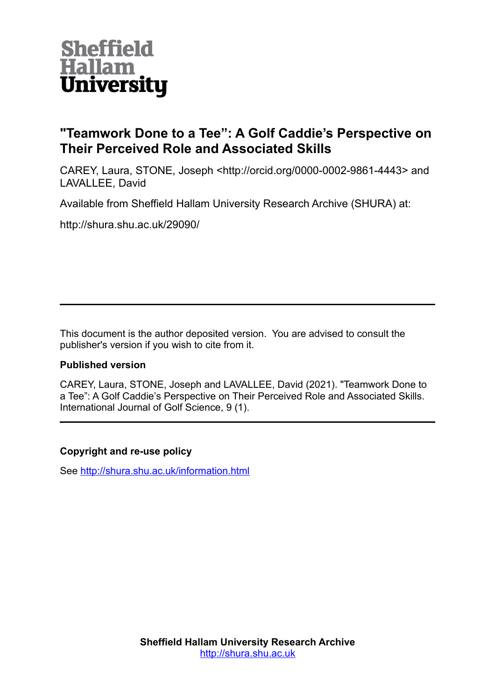

# **"Teamwork Done to a Tee": A Golf Caddie's Perspective on Their Perceived Role and Associated Skills**

CAREY, Laura, STONE, Joseph <http://orcid.org/0000-0002-9861-4443> and LAVALLEE, David

Available from Sheffield Hallam University Research Archive (SHURA) at:

http://shura.shu.ac.uk/29090/

This document is the author deposited version. You are advised to consult the publisher's version if you wish to cite from it.

## **Published version**

CAREY, Laura, STONE, Joseph and LAVALLEE, David (2021). "Teamwork Done to a Tee": A Golf Caddie's Perspective on Their Perceived Role and Associated Skills. International Journal of Golf Science, 9 (1).

## **Copyright and re-use policy**

See<http://shura.shu.ac.uk/information.html>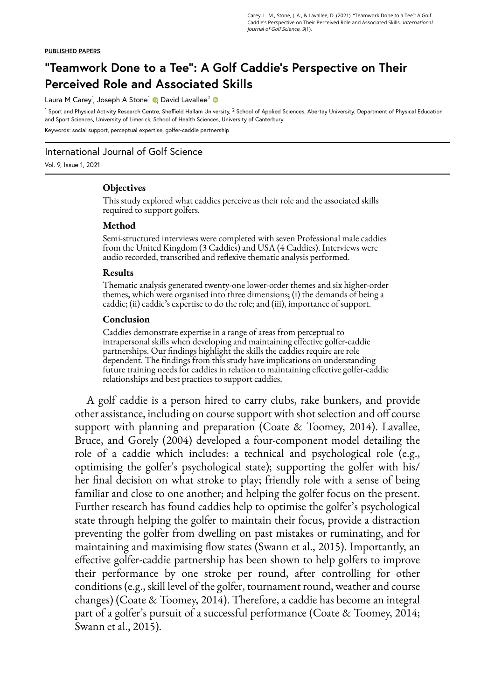#### **PUBLISHED PAPERS**

# **"Teamwork Done to a Tee": A Golf Caddie's Perspective on Their Perceived Role and Associated Skills**

Laura M Carey<sup>1</sup>[,](https://orcid.org/0000-0002-9861-4443) Joseph A Stone<sup>1</sup> (D, David Lavallee<sup>2</sup>

 $^1$  Sport and Physical Activity Research Centre, Sheffield Hallam University,  $^2$  School of Applied Sciences, Abertay University; Department of Physical Education and Sport Sciences, University of Limerick; School of Health Sciences, University of Canterbury Keywords: social support, perceptual expertise, golfer-caddie partnership

International Journal of Golf Science

Vol. 9, Issue 1, 2021

### **Objectives**

This study explored what caddies perceive as their role and the associated skills required to support golfers.

#### **Method**

Semi-structured interviews were completed with seven Professional male caddies from the United Kingdom (3 Caddies) and USA (4 Caddies). Interviews were audio recorded, transcribed and reflexive thematic analysis performed.

#### **Results**

Thematic analysis generated twenty-one lower-order themes and six higher-order themes, which were organised into three dimensions; (i) the demands of being a caddie; (ii) caddie's expertise to do the role; and (iii), importance of support.

#### **Conclusion**

Caddies demonstrate expertise in a range of areas from perceptual to intrapersonal skills when developing and maintaining effective golfer-caddie partnerships. Our findings highlight the skills the caddies require are role dependent. The findings from this study have implications on understanding future training needs for caddies in relation to maintaining effective golfer-caddie relationships and best practices to support caddies.

A golf caddie is a person hired to carry clubs, rake bunkers, and provide other assistance, including on course support with shot selection and off course support with planning and preparation (Coate & Toomey, 2014). Lavallee, Bruce, and Gorely (2004) developed a four-component model detailing the role of a caddie which includes: a technical and psychological role (e.g., optimising the golfer's psychological state); supporting the golfer with his/ her final decision on what stroke to play; friendly role with a sense of being familiar and close to one another; and helping the golfer focus on the present. Further research has found caddies help to optimise the golfer's psychological state through helping the golfer to maintain their focus, provide a distraction preventing the golfer from dwelling on past mistakes or ruminating, and for maintaining and maximising flow states (Swann et al., 2015). Importantly, an effective golfer-caddie partnership has been shown to help golfers to improve their performance by one stroke per round, after controlling for other conditions (e.g., skill level of the golfer, tournament round, weather and course changes) (Coate & Toomey, 2014). Therefore, a caddie has become an integral part of a golfer's pursuit of a successful performance (Coate & Toomey, 2014; Swann et al., 2015).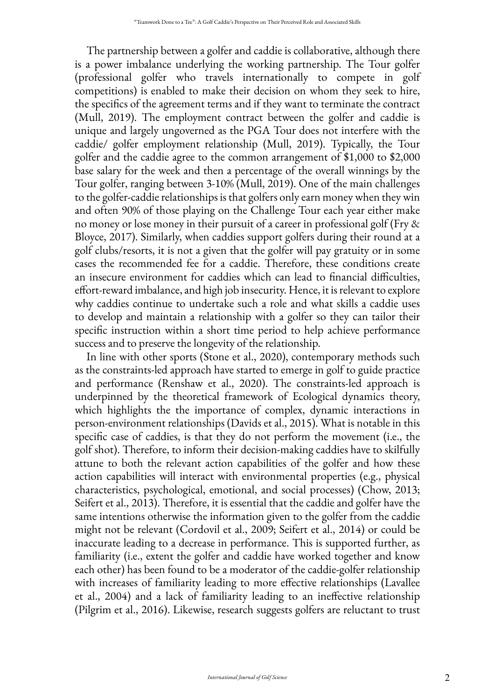The partnership between a golfer and caddie is collaborative, although there is a power imbalance underlying the working partnership. The Tour golfer (professional golfer who travels internationally to compete in golf competitions) is enabled to make their decision on whom they seek to hire, the specifics of the agreement terms and if they want to terminate the contract (Mull, 2019). The employment contract between the golfer and caddie is unique and largely ungoverned as the PGA Tour does not interfere with the caddie/ golfer employment relationship (Mull, 2019). Typically, the Tour golfer and the caddie agree to the common arrangement of \$1,000 to \$2,000 base salary for the week and then a percentage of the overall winnings by the Tour golfer, ranging between 3-10% (Mull, 2019). One of the main challenges to the golfer-caddie relationships is that golfers only earn money when they win and often 90% of those playing on the Challenge Tour each year either make no money or lose money in their pursuit of a career in professional golf (Fry & Bloyce, 2017). Similarly, when caddies support golfers during their round at a golf clubs/resorts, it is not a given that the golfer will pay gratuity or in some cases the recommended fee for a caddie. Therefore, these conditions create an insecure environment for caddies which can lead to financial difficulties, effort-reward imbalance, and high job insecurity. Hence, it is relevant to explore why caddies continue to undertake such a role and what skills a caddie uses to develop and maintain a relationship with a golfer so they can tailor their specific instruction within a short time period to help achieve performance success and to preserve the longevity of the relationship.

In line with other sports (Stone et al., 2020), contemporary methods such as the constraints-led approach have started to emerge in golf to guide practice and performance (Renshaw et al., 2020). The constraints-led approach is underpinned by the theoretical framework of Ecological dynamics theory, which highlights the the importance of complex, dynamic interactions in person-environment relationships (Davids et al., 2015). What is notable in this specific case of caddies, is that they do not perform the movement (i.e., the golf shot). Therefore, to inform their decision-making caddies have to skilfully attune to both the relevant action capabilities of the golfer and how these action capabilities will interact with environmental properties (e.g., physical characteristics, psychological, emotional, and social processes) (Chow, 2013; Seifert et al., 2013). Therefore, it is essential that the caddie and golfer have the same intentions otherwise the information given to the golfer from the caddie might not be relevant (Cordovil et al., 2009; Seifert et al., 2014) or could be inaccurate leading to a decrease in performance. This is supported further, as familiarity (i.e., extent the golfer and caddie have worked together and know each other) has been found to be a moderator of the caddie-golfer relationship with increases of familiarity leading to more effective relationships (Lavallee et al., 2004) and a lack of familiarity leading to an ineffective relationship (Pilgrim et al., 2016). Likewise, research suggests golfers are reluctant to trust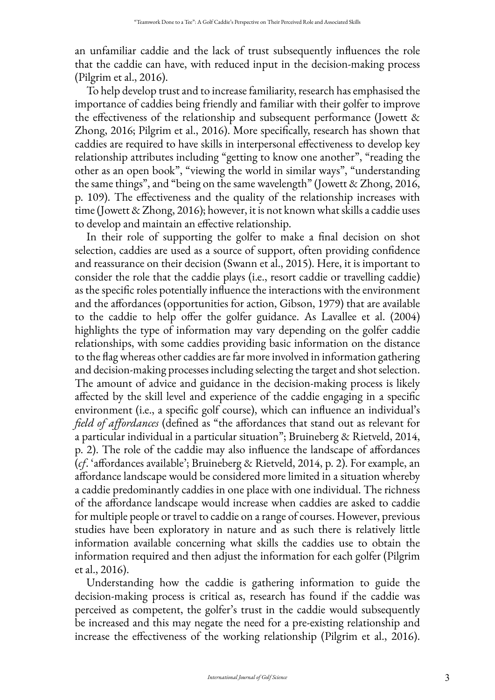an unfamiliar caddie and the lack of trust subsequently influences the role that the caddie can have, with reduced input in the decision-making process (Pilgrim et al., 2016).

To help develop trust and to increase familiarity, research has emphasised the importance of caddies being friendly and familiar with their golfer to improve the effectiveness of the relationship and subsequent performance (Jowett & Zhong, 2016; Pilgrim et al., 2016). More specifically, research has shown that caddies are required to have skills in interpersonal effectiveness to develop key relationship attributes including "getting to know one another", "reading the other as an open book", "viewing the world in similar ways", "understanding the same things", and "being on the same wavelength" (Jowett & Zhong, 2016, p. 109). The effectiveness and the quality of the relationship increases with time (Jowett & Zhong, 2016); however, it is not known what skills a caddie uses to develop and maintain an effective relationship.

In their role of supporting the golfer to make a final decision on shot selection, caddies are used as a source of support, often providing confidence and reassurance on their decision (Swann et al., 2015). Here, it is important to consider the role that the caddie plays (i.e., resort caddie or travelling caddie) as the specific roles potentially influence the interactions with the environment and the affordances (opportunities for action, Gibson, 1979) that are available to the caddie to help offer the golfer guidance. As Lavallee et al. (2004) highlights the type of information may vary depending on the golfer caddie relationships, with some caddies providing basic information on the distance to the flag whereas other caddies are far more involved in information gathering and decision-making processes including selecting the target and shot selection. The amount of advice and guidance in the decision-making process is likely affected by the skill level and experience of the caddie engaging in a specific environment (i.e., a specific golf course), which can influence an individual's *field of affordances* (defined as "the affordances that stand out as relevant for a particular individual in a particular situation"; Bruineberg & Rietveld, 2014, p. 2). The role of the caddie may also influence the landscape of affordances (*cf*. 'affordances available'; Bruineberg & Rietveld, 2014, p. 2). For example, an affordance landscape would be considered more limited in a situation whereby a caddie predominantly caddies in one place with one individual. The richness of the affordance landscape would increase when caddies are asked to caddie for multiple people or travel to caddie on a range of courses. However, previous studies have been exploratory in nature and as such there is relatively little information available concerning what skills the caddies use to obtain the information required and then adjust the information for each golfer (Pilgrim et al., 2016).

Understanding how the caddie is gathering information to guide the decision-making process is critical as, research has found if the caddie was perceived as competent, the golfer's trust in the caddie would subsequently be increased and this may negate the need for a pre-existing relationship and increase the effectiveness of the working relationship (Pilgrim et al., 2016).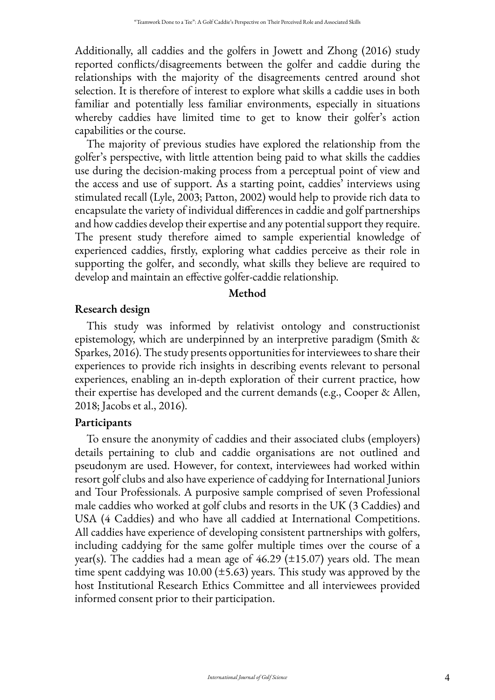Additionally, all caddies and the golfers in Jowett and Zhong (2016) study reported conflicts/disagreements between the golfer and caddie during the relationships with the majority of the disagreements centred around shot selection. It is therefore of interest to explore what skills a caddie uses in both familiar and potentially less familiar environments, especially in situations whereby caddies have limited time to get to know their golfer's action capabilities or the course.

The majority of previous studies have explored the relationship from the golfer's perspective, with little attention being paid to what skills the caddies use during the decision-making process from a perceptual point of view and the access and use of support. As a starting point, caddies' interviews using stimulated recall (Lyle, 2003; Patton, 2002) would help to provide rich data to encapsulate the variety of individual differences in caddie and golf partnerships and how caddies develop their expertise and any potential support they require. The present study therefore aimed to sample experiential knowledge of experienced caddies, firstly, exploring what caddies perceive as their role in supporting the golfer, and secondly, what skills they believe are required to develop and maintain an effective golfer-caddie relationship.

### **Method**

# **Research design**

This study was informed by relativist ontology and constructionist epistemology, which are underpinned by an interpretive paradigm (Smith & Sparkes, 2016). The study presents opportunities for interviewees to share their experiences to provide rich insights in describing events relevant to personal experiences, enabling an in-depth exploration of their current practice, how their expertise has developed and the current demands (e.g., Cooper & Allen, 2018; Jacobs et al., 2016).

# **Participants**

To ensure the anonymity of caddies and their associated clubs (employers) details pertaining to club and caddie organisations are not outlined and pseudonym are used. However, for context, interviewees had worked within resort golf clubs and also have experience of caddying for International Juniors and Tour Professionals. A purposive sample comprised of seven Professional male caddies who worked at golf clubs and resorts in the UK (3 Caddies) and USA (4 Caddies) and who have all caddied at International Competitions. All caddies have experience of developing consistent partnerships with golfers, including caddying for the same golfer multiple times over the course of a year(s). The caddies had a mean age of  $46.29$  ( $\pm 15.07$ ) years old. The mean time spent caddying was  $10.00$  ( $\pm$ 5.63) years. This study was approved by the host Institutional Research Ethics Committee and all interviewees provided informed consent prior to their participation.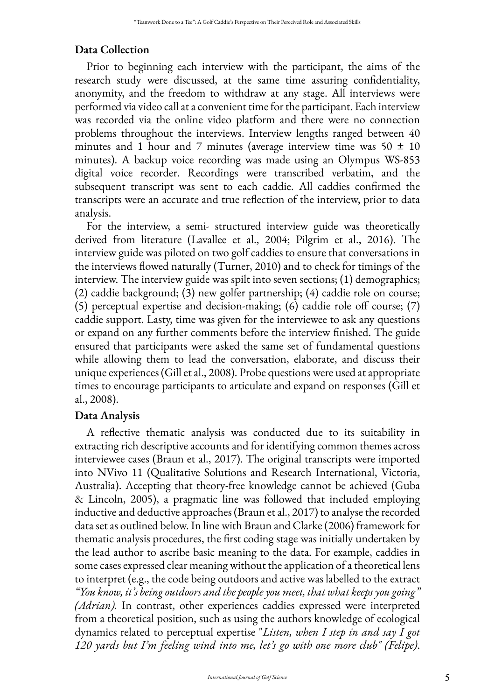## **Data Collection**

Prior to beginning each interview with the participant, the aims of the research study were discussed, at the same time assuring confidentiality, anonymity, and the freedom to withdraw at any stage. All interviews were performed via video call at a convenient time for the participant. Each interview was recorded via the online video platform and there were no connection problems throughout the interviews. Interview lengths ranged between 40 minutes and 1 hour and 7 minutes (average interview time was  $50 \pm 10$ minutes). A backup voice recording was made using an Olympus WS-853 digital voice recorder. Recordings were transcribed verbatim, and the subsequent transcript was sent to each caddie. All caddies confirmed the transcripts were an accurate and true reflection of the interview, prior to data analysis.

For the interview, a semi- structured interview guide was theoretically derived from literature (Lavallee et al., 2004; Pilgrim et al., 2016). The interview guide was piloted on two golf caddies to ensure that conversations in the interviews flowed naturally (Turner, 2010) and to check for timings of the interview. The interview guide was spilt into seven sections; (1) demographics; (2) caddie background; (3) new golfer partnership; (4) caddie role on course; (5) perceptual expertise and decision-making; (6) caddie role off course; (7) caddie support. Lasty, time was given for the interviewee to ask any questions or expand on any further comments before the interview finished. The guide ensured that participants were asked the same set of fundamental questions while allowing them to lead the conversation, elaborate, and discuss their unique experiences (Gill et al., 2008). Probe questions were used at appropriate times to encourage participants to articulate and expand on responses (Gill et al., 2008).

# **Data Analysis**

A reflective thematic analysis was conducted due to its suitability in extracting rich descriptive accounts and for identifying common themes across interviewee cases (Braun et al., 2017). The original transcripts were imported into NVivo 11 (Qualitative Solutions and Research International, Victoria, Australia). Accepting that theory-free knowledge cannot be achieved (Guba & Lincoln, 2005), a pragmatic line was followed that included employing inductive and deductive approaches (Braun et al., 2017) to analyse the recorded data set as outlined below. In line with Braun and Clarke (2006) framework for thematic analysis procedures, the first coding stage was initially undertaken by the lead author to ascribe basic meaning to the data. For example, caddies in some cases expressed clear meaning without the application of a theoretical lens to interpret (e.g., the code being outdoors and active was labelled to the extract *"You know, it's being outdoors and the people you meet, that what keeps you going" (Adrian).* In contrast, other experiences caddies expressed were interpreted from a theoretical position, such as using the authors knowledge of ecological dynamics related to perceptual expertise "*Listen, when I step in and say I got 120 yards but I'm feeling wind into me, let's go with one more club" (Felipe)*.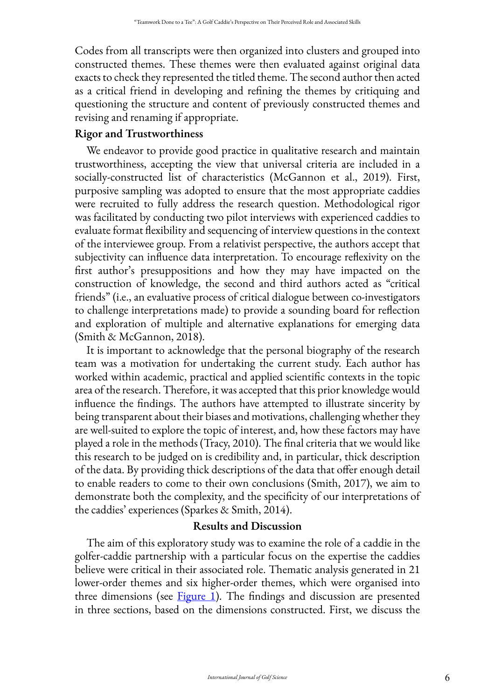Codes from all transcripts were then organized into clusters and grouped into constructed themes. These themes were then evaluated against original data exacts to check they represented the titled theme. The second author then acted as a critical friend in developing and refining the themes by critiquing and questioning the structure and content of previously constructed themes and revising and renaming if appropriate.

# **Rigor and Trustworthiness**

We endeavor to provide good practice in qualitative research and maintain trustworthiness, accepting the view that universal criteria are included in a socially-constructed list of characteristics (McGannon et al., 2019). First, purposive sampling was adopted to ensure that the most appropriate caddies were recruited to fully address the research question. Methodological rigor was facilitated by conducting two pilot interviews with experienced caddies to evaluate format flexibility and sequencing of interview questions in the context of the interviewee group. From a relativist perspective, the authors accept that subjectivity can influence data interpretation. To encourage reflexivity on the first author's presuppositions and how they may have impacted on the construction of knowledge, the second and third authors acted as "critical friends" (i.e., an evaluative process of critical dialogue between co-investigators to challenge interpretations made) to provide a sounding board for reflection and exploration of multiple and alternative explanations for emerging data (Smith & McGannon, 2018).

It is important to acknowledge that the personal biography of the research team was a motivation for undertaking the current study. Each author has worked within academic, practical and applied scientific contexts in the topic area of the research. Therefore, it was accepted that this prior knowledge would influence the findings. The authors have attempted to illustrate sincerity by being transparent about their biases and motivations, challenging whether they are well-suited to explore the topic of interest, and, how these factors may have played a role in the methods (Tracy, 2010). The final criteria that we would like this research to be judged on is credibility and, in particular, thick description of the data. By providing thick descriptions of the data that offer enough detail to enable readers to come to their own conclusions (Smith, 2017), we aim to demonstrate both the complexity, and the specificity of our interpretations of the caddies' experiences (Sparkes & Smith, 2014).

## **Results and Discussion**

The aim of this exploratory study was to examine the role of a caddie in the golfer-caddie partnership with a particular focus on the expertise the caddies believe were critical in their associated role. Thematic analysis generated in 21 lower-order themes and six higher-order themes, which were organised into three dimensions (see [Figure 1](#page-7-0)). The findings and discussion are presented in three sections, based on the dimensions constructed. First, we discuss the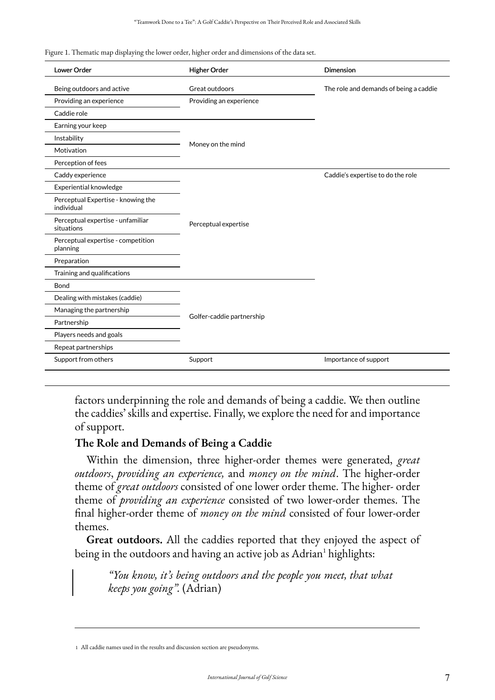<span id="page-7-0"></span>Figure 1. Thematic map displaying the lower order, higher order and dimensions of the data set.

| Lower Order                                      | <b>Higher Order</b>       | <b>Dimension</b>                       |
|--------------------------------------------------|---------------------------|----------------------------------------|
| Being outdoors and active                        | Great outdoors            | The role and demands of being a caddie |
| Providing an experience                          | Providing an experience   |                                        |
| Caddie role                                      |                           |                                        |
| Earning your keep                                |                           |                                        |
| Instability                                      | Money on the mind         |                                        |
| Motivation                                       |                           |                                        |
| Perception of fees                               |                           |                                        |
| Caddy experience                                 |                           | Caddie's expertise to do the role      |
| Experiential knowledge                           | Perceptual expertise      |                                        |
| Perceptual Expertise - knowing the<br>individual |                           |                                        |
| Perceptual expertise - unfamiliar<br>situations  |                           |                                        |
| Perceptual expertise - competition<br>planning   |                           |                                        |
| Preparation                                      |                           |                                        |
| Training and qualifications                      |                           |                                        |
| Bond                                             |                           |                                        |
| Dealing with mistakes (caddie)                   | Golfer-caddie partnership |                                        |
| Managing the partnership                         |                           |                                        |
| Partnership                                      |                           |                                        |
| Players needs and goals                          |                           |                                        |
| Repeat partnerships                              |                           |                                        |
| Support from others                              | Support                   | Importance of support                  |

factors underpinning the role and demands of being a caddie. We then outline the caddies' skills and expertise. Finally, we explore the need for and importance of support.

## **The Role and Demands of Being a Caddie**

Within the dimension, three higher-order themes were generated, *great outdoors*, *providing an experience,* and *money on the mind*. The higher-order theme of *great outdoors* consisted of one lower order theme. The higher- order theme of *providing an experience* consisted of two lower-order themes. The final higher-order theme of *money on the mind* consisted of four lower-order themes.

**Great outdoors.** All the caddies reported that they enjoyed the aspect of being in the outdoors and having an active job as Adrian<sup>1</sup> highlights:

*"You know, it's being outdoors and the people you meet, that what keeps you going".* (Adrian)

<sup>1</sup> All caddie names used in the results and discussion section are pseudonyms.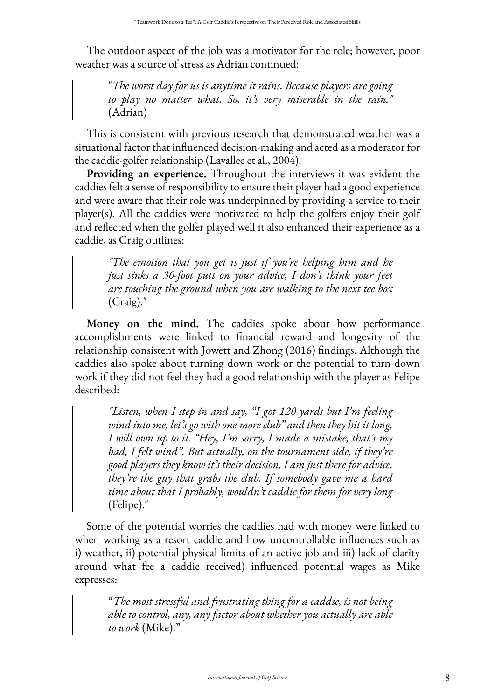The outdoor aspect of the job was a motivator for the role; however, poor weather was a source of stress as Adrian continued:

"*The worst day for us is anytime it rains. Because players are going to play no matter what. So, it's very miserable in the rain."*  (Adrian)

This is consistent with previous research that demonstrated weather was a situational factor that influenced decision-making and acted as a moderator for the caddie-golfer relationship (Lavallee et al., 2004).

**Providing an experience.** Throughout the interviews it was evident the caddies felt a sense of responsibility to ensure their player had a good experience and were aware that their role was underpinned by providing a service to their player(s). All the caddies were motivated to help the golfers enjoy their golf and reflected when the golfer played well it also enhanced their experience as a caddie, as Craig outlines:

*"The emotion that you get is just if you're helping him and he just sinks a 30-foot putt on your advice, I don't think your feet are touching the ground when you are walking to the next tee box*  (Craig)."

**Money on the mind.** The caddies spoke about how performance accomplishments were linked to financial reward and longevity of the relationship consistent with Jowett and Zhong (2016) findings. Although the caddies also spoke about turning down work or the potential to turn down work if they did not feel they had a good relationship with the player as Felipe described:

*"Listen, when I step in and say, "I got 120 yards but I'm feeling wind into me, let's go with one more club" and then they hit it long, I will own up to it. "Hey, I'm sorry, I made a mistake, that's my bad, I felt wind". But actually, on the tournament side, if they're good players they know it's their decision, I am just there for advice, they're the guy that grabs the club. If somebody gave me a hard time about that I probably, wouldn't caddie for them for very long*  (Felipe)."

Some of the potential worries the caddies had with money were linked to when working as a resort caddie and how uncontrollable influences such as i) weather, ii) potential physical limits of an active job and iii) lack of clarity around what fee a caddie received) influenced potential wages as Mike expresses:

"*The most stressful and frustrating thing for a caddie, is not being able to control, any, any factor about whether you actually are able to work* (Mike)."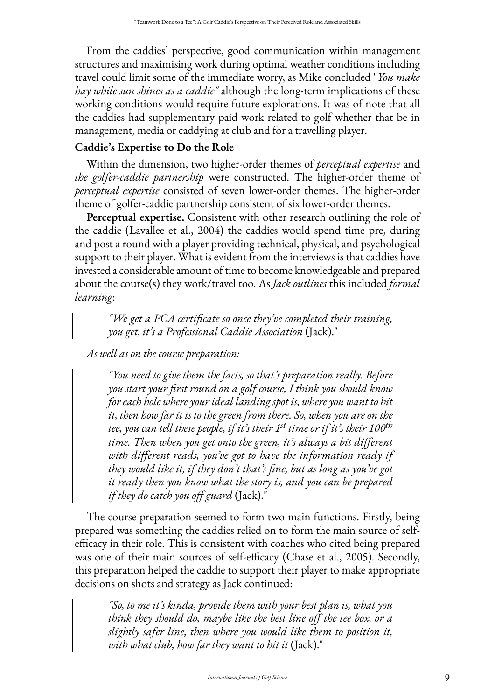From the caddies' perspective, good communication within management structures and maximising work during optimal weather conditions including travel could limit some of the immediate worry, as Mike concluded "*You make hay while sun shines as a caddie"* although the long-term implications of these working conditions would require future explorations. It was of note that all the caddies had supplementary paid work related to golf whether that be in management, media or caddying at club and for a travelling player.

# **Caddie's Expertise to Do the Role**

Within the dimension, two higher-order themes of *perceptual expertise* and *the golfer-caddie partnership* were constructed. The higher-order theme of *perceptual expertise* consisted of seven lower-order themes. The higher-order theme of golfer-caddie partnership consistent of six lower-order themes.

**Perceptual expertise.** Consistent with other research outlining the role of the caddie (Lavallee et al., 2004) the caddies would spend time pre, during and post a round with a player providing technical, physical, and psychological support to their player. What is evident from the interviews is that caddies have invested a considerable amount of time to become knowledgeable and prepared about the course(s) they work/travel too. As *Jack outlines* this included *formal learning*:

*"We get a PCA certificate so once they've completed their training, you get, it's a Professional Caddie Association* (Jack)."

*As well as on the course preparation:* 

*"You need to give them the facts, so that's preparation really. Before you start your first round on a golf course, I think you should know for each hole where your ideal landing spot is, where you want to hit it, then how far it is to the green from there. So, when you are on the tee, you can tell these people, if it's their 1st time or if it's their 100th time. Then when you get onto the green, it's always a bit different with different reads, you've got to have the information ready if they would like it, if they don't that's fine, but as long as you've got it ready then you know what the story is, and you can be prepared if they do catch you off guard* (Jack)."

The course preparation seemed to form two main functions. Firstly, being prepared was something the caddies relied on to form the main source of selfefficacy in their role. This is consistent with coaches who cited being prepared was one of their main sources of self-efficacy (Chase et al., 2005). Secondly, this preparation helped the caddie to support their player to make appropriate decisions on shots and strategy as Jack continued:

*"So, to me it's kinda, provide them with your best plan is, what you think they should do, maybe like the best line off the tee box, or a slightly safer line, then where you would like them to position it, with what club, how far they want to hit it* (Jack)."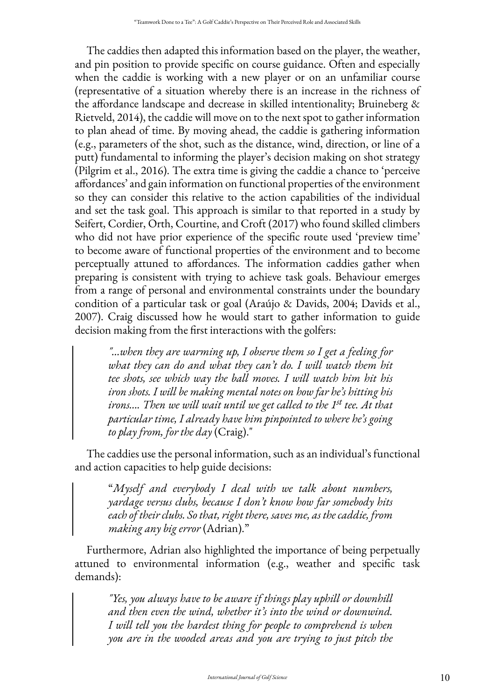The caddies then adapted this information based on the player, the weather, and pin position to provide specific on course guidance. Often and especially when the caddie is working with a new player or on an unfamiliar course (representative of a situation whereby there is an increase in the richness of the affordance landscape and decrease in skilled intentionality; Bruineberg & Rietveld, 2014), the caddie will move on to the next spot to gather information to plan ahead of time. By moving ahead, the caddie is gathering information (e.g., parameters of the shot, such as the distance, wind, direction, or line of a putt) fundamental to informing the player's decision making on shot strategy (Pilgrim et al., 2016). The extra time is giving the caddie a chance to 'perceive affordances' and gain information on functional properties of the environment so they can consider this relative to the action capabilities of the individual and set the task goal. This approach is similar to that reported in a study by Seifert, Cordier, Orth, Courtine, and Croft (2017) who found skilled climbers who did not have prior experience of the specific route used 'preview time' to become aware of functional properties of the environment and to become perceptually attuned to affordances. The information caddies gather when preparing is consistent with trying to achieve task goals. Behaviour emerges from a range of personal and environmental constraints under the boundary condition of a particular task or goal (Araújo & Davids, 2004; Davids et al., 2007). Craig discussed how he would start to gather information to guide decision making from the first interactions with the golfers:

*"…when they are warming up, I observe them so I get a feeling for what they can do and what they can't do. I will watch them hit tee shots, see which way the ball moves. I will watch him hit his iron shots. I will be making mental notes on how far he's hitting his irons…. Then we will wait until we get called to the 1st tee. At that particular time, I already have him pinpointed to where he's going to play from, for the day* (Craig)."

The caddies use the personal information, such as an individual's functional and action capacities to help guide decisions:

"*Myself and everybody I deal with we talk about numbers, yardage versus clubs, because I don't know how far somebody hits each of their clubs. So that, right there, saves me, as the caddie, from making any big error* (Adrian)."

Furthermore, Adrian also highlighted the importance of being perpetually attuned to environmental information (e.g., weather and specific task demands):

*"Yes, you always have to be aware if things play uphill or downhill and then even the wind, whether it's into the wind or downwind. I will tell you the hardest thing for people to comprehend is when you are in the wooded areas and you are trying to just pitch the*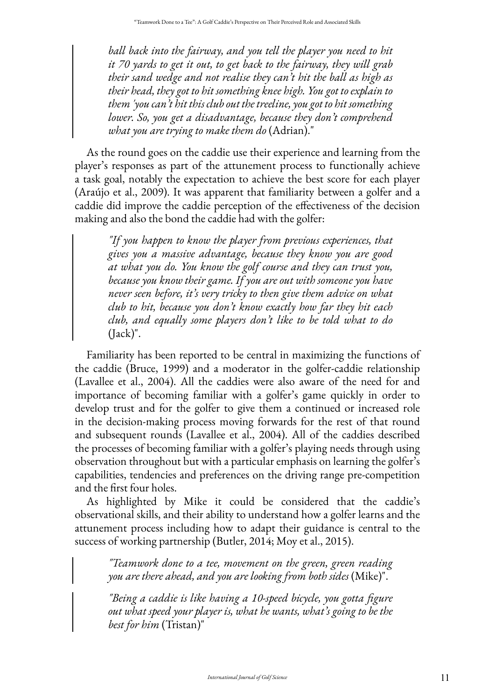*ball back into the fairway, and you tell the player you need to hit it 70 yards to get it out, to get back to the fairway, they will grab their sand wedge and not realise they can't hit the ball as high as their head, they got to hit something knee high. You got to explain to them 'you can't hit this club out the treeline, you got to hit something lower. So, you get a disadvantage, because they don't comprehend what you are trying to make them do* (Adrian)."

As the round goes on the caddie use their experience and learning from the player's responses as part of the attunement process to functionally achieve a task goal, notably the expectation to achieve the best score for each player (Araújo et al., 2009). It was apparent that familiarity between a golfer and a caddie did improve the caddie perception of the effectiveness of the decision making and also the bond the caddie had with the golfer:

*"If you happen to know the player from previous experiences, that gives you a massive advantage, because they know you are good at what you do. You know the golf course and they can trust you, because you know their game. If you are out with someone you have never seen before, it's very tricky to then give them advice on what club to hit, because you don't know exactly how far they hit each club, and equally some players don't like to be told what to do*  (Jack)".

Familiarity has been reported to be central in maximizing the functions of the caddie (Bruce, 1999) and a moderator in the golfer-caddie relationship (Lavallee et al., 2004). All the caddies were also aware of the need for and importance of becoming familiar with a golfer's game quickly in order to develop trust and for the golfer to give them a continued or increased role in the decision-making process moving forwards for the rest of that round and subsequent rounds (Lavallee et al., 2004). All of the caddies described the processes of becoming familiar with a golfer's playing needs through using observation throughout but with a particular emphasis on learning the golfer's capabilities, tendencies and preferences on the driving range pre-competition and the first four holes.

As highlighted by Mike it could be considered that the caddie's observational skills, and their ability to understand how a golfer learns and the attunement process including how to adapt their guidance is central to the success of working partnership (Butler, 2014; Moy et al., 2015).

*"Teamwork done to a tee, movement on the green, green reading you are there ahead, and you are looking from both sides* (Mike)".

*"Being a caddie is like having a 10-speed bicycle, you gotta figure out what speed your player is, what he wants, what's going to be the best for him* (Tristan)"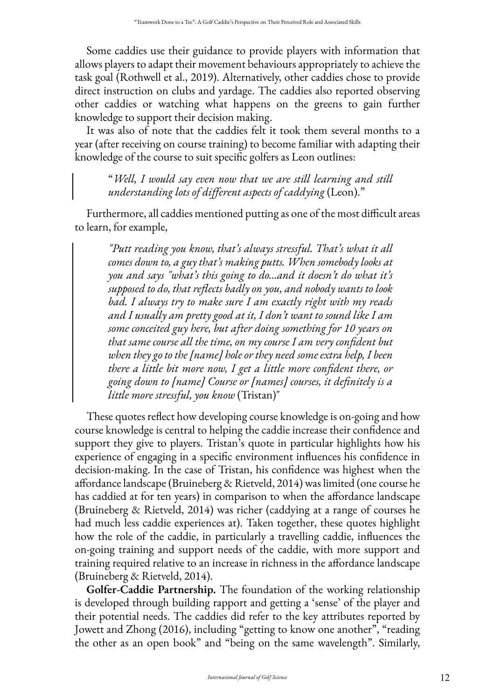Some caddies use their guidance to provide players with information that allows players to adapt their movement behaviours appropriately to achieve the task goal (Rothwell et al., 2019). Alternatively, other caddies chose to provide direct instruction on clubs and yardage. The caddies also reported observing other caddies or watching what happens on the greens to gain further knowledge to support their decision making.

It was also of note that the caddies felt it took them several months to a year (after receiving on course training) to become familiar with adapting their knowledge of the course to suit specific golfers as Leon outlines:

"*Well, I would say even now that we are still learning and still understanding lots of different aspects of caddying* (Leon)."

Furthermore, all caddies mentioned putting as one of the most difficult areas to learn, for example,

*"Putt reading you know, that's always stressful. That's what it all comes down to, a guy that's making putts. When somebody looks at you and says "what's this going to do…and it doesn't do what it's supposed to do, that reflects badly on you, and nobody wants to look bad. I always try to make sure I am exactly right with my reads and I usually am pretty good at it, I don't want to sound like I am some conceited guy here, but after doing something for 10 years on that same course all the time, on my course I am very confident but when they go to the [name] hole or they need some extra help, I been there a little bit more now, I get a little more confident there, or going down to [name] Course or [names] courses, it definitely is a little more stressful, you know* (Tristan)"

These quotes reflect how developing course knowledge is on-going and how course knowledge is central to helping the caddie increase their confidence and support they give to players. Tristan's quote in particular highlights how his experience of engaging in a specific environment influences his confidence in decision-making. In the case of Tristan, his confidence was highest when the affordance landscape (Bruineberg & Rietveld, 2014) was limited (one course he has caddied at for ten years) in comparison to when the affordance landscape (Bruineberg & Rietveld, 2014) was richer (caddying at a range of courses he had much less caddie experiences at). Taken together, these quotes highlight how the role of the caddie, in particularly a travelling caddie, influences the on-going training and support needs of the caddie, with more support and training required relative to an increase in richness in the affordance landscape (Bruineberg & Rietveld, 2014).

**Golfer-Caddie Partnership.** The foundation of the working relationship is developed through building rapport and getting a 'sense' of the player and their potential needs. The caddies did refer to the key attributes reported by Jowett and Zhong (2016), including "getting to know one another", "reading the other as an open book" and "being on the same wavelength". Similarly,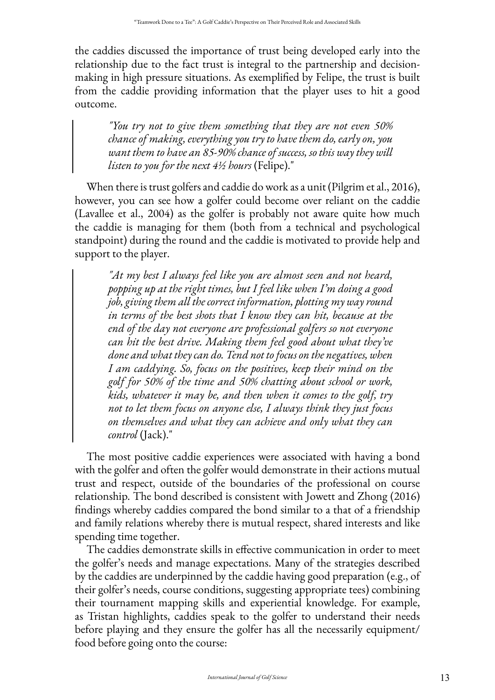the caddies discussed the importance of trust being developed early into the relationship due to the fact trust is integral to the partnership and decisionmaking in high pressure situations. As exemplified by Felipe, the trust is built from the caddie providing information that the player uses to hit a good outcome.

*"You try not to give them something that they are not even 50% chance of making, everything you try to have them do, early on, you want them to have an 85-90% chance of success, so this way they will listen to you for the next 4½ hours* (Felipe)."

When there is trust golfers and caddie do work as a unit (Pilgrim et al., 2016), however, you can see how a golfer could become over reliant on the caddie (Lavallee et al., 2004) as the golfer is probably not aware quite how much the caddie is managing for them (both from a technical and psychological standpoint) during the round and the caddie is motivated to provide help and support to the player.

*"At my best I always feel like you are almost seen and not heard, popping up at the right times, but I feel like when I'm doing a good job, giving them all the correct information, plotting my way round in terms of the best shots that I know they can hit, because at the end of the day not everyone are professional golfers so not everyone can hit the best drive. Making them feel good about what they've done and what they can do. Tend not to focus on the negatives, when I am caddying. So, focus on the positives, keep their mind on the golf for 50% of the time and 50% chatting about school or work, kids, whatever it may be, and then when it comes to the golf, try not to let them focus on anyone else, I always think they just focus on themselves and what they can achieve and only what they can control* (Jack)."

The most positive caddie experiences were associated with having a bond with the golfer and often the golfer would demonstrate in their actions mutual trust and respect, outside of the boundaries of the professional on course relationship. The bond described is consistent with Jowett and Zhong (2016) findings whereby caddies compared the bond similar to a that of a friendship and family relations whereby there is mutual respect, shared interests and like spending time together.

The caddies demonstrate skills in effective communication in order to meet the golfer's needs and manage expectations. Many of the strategies described by the caddies are underpinned by the caddie having good preparation (e.g., of their golfer's needs, course conditions, suggesting appropriate tees) combining their tournament mapping skills and experiential knowledge. For example, as Tristan highlights, caddies speak to the golfer to understand their needs before playing and they ensure the golfer has all the necessarily equipment/ food before going onto the course: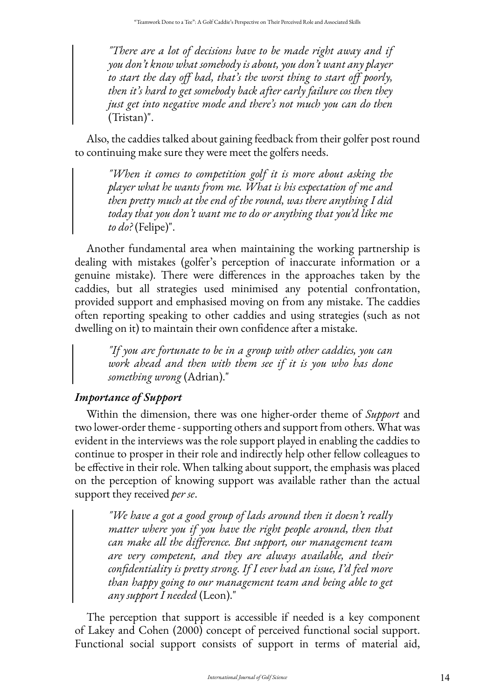*"There are a lot of decisions have to be made right away and if you don't know what somebody is about, you don't want any player to start the day off bad, that's the worst thing to start off poorly, then it's hard to get somebody back after early failure cos then they just get into negative mode and there's not much you can do then*  (Tristan)".

Also, the caddies talked about gaining feedback from their golfer post round to continuing make sure they were meet the golfers needs.

*"When it comes to competition golf it is more about asking the player what he wants from me. What is his expectation of me and then pretty much at the end of the round, was there anything I did today that you don't want me to do or anything that you'd like me to do?* (Felipe)".

Another fundamental area when maintaining the working partnership is dealing with mistakes (golfer's perception of inaccurate information or a genuine mistake). There were differences in the approaches taken by the caddies, but all strategies used minimised any potential confrontation, provided support and emphasised moving on from any mistake. The caddies often reporting speaking to other caddies and using strategies (such as not dwelling on it) to maintain their own confidence after a mistake.

*"If you are fortunate to be in a group with other caddies, you can work ahead and then with them see if it is you who has done something wrong* (Adrian)."

# *Importance of Support*

Within the dimension, there was one higher-order theme of *Support* and two lower-order theme - supporting others and support from others. What was evident in the interviews was the role support played in enabling the caddies to continue to prosper in their role and indirectly help other fellow colleagues to be effective in their role. When talking about support, the emphasis was placed on the perception of knowing support was available rather than the actual support they received *per se*.

*"We have a got a good group of lads around then it doesn't really matter where you if you have the right people around, then that can make all the difference. But support, our management team are very competent, and they are always available, and their confidentiality is pretty strong. If I ever had an issue, I'd feel more than happy going to our management team and being able to get any support I needed* (Leon)."

The perception that support is accessible if needed is a key component of Lakey and Cohen (2000) concept of perceived functional social support. Functional social support consists of support in terms of material aid,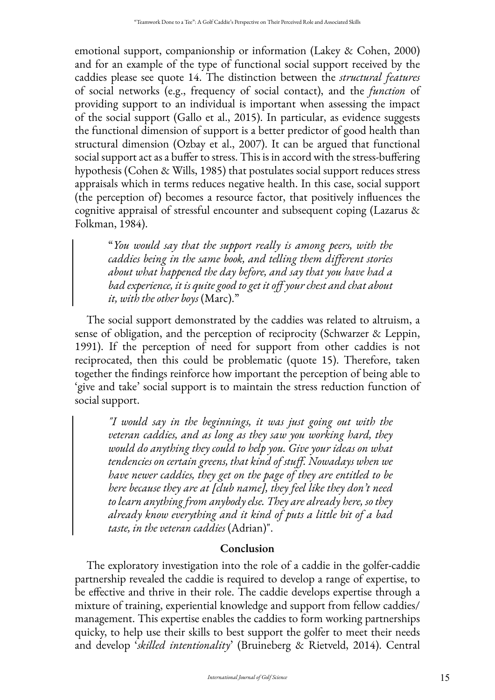emotional support, companionship or information (Lakey & Cohen, 2000) and for an example of the type of functional social support received by the caddies please see quote 14. The distinction between the *structural features*  of social networks (e.g., frequency of social contact), and the *function* of providing support to an individual is important when assessing the impact of the social support (Gallo et al., 2015). In particular, as evidence suggests the functional dimension of support is a better predictor of good health than structural dimension (Ozbay et al., 2007). It can be argued that functional social support act as a buffer to stress. This is in accord with the stress-buffering hypothesis (Cohen & Wills, 1985) that postulates social support reduces stress appraisals which in terms reduces negative health. In this case, social support (the perception of) becomes a resource factor, that positively influences the cognitive appraisal of stressful encounter and subsequent coping (Lazarus & Folkman, 1984).

"*You would say that the support really is among peers, with the caddies being in the same book, and telling them different stories about what happened the day before, and say that you have had a bad experience, it is quite good to get it off your chest and chat about it, with the other boys* (Marc)."

The social support demonstrated by the caddies was related to altruism, a sense of obligation, and the perception of reciprocity (Schwarzer & Leppin, 1991). If the perception of need for support from other caddies is not reciprocated, then this could be problematic (quote 15). Therefore, taken together the findings reinforce how important the perception of being able to 'give and take' social support is to maintain the stress reduction function of social support.

*"I would say in the beginnings, it was just going out with the veteran caddies, and as long as they saw you working hard, they would do anything they could to help you. Give your ideas on what tendencies on certain greens, that kind of stuff. Nowadays when we have newer caddies, they get on the page of they are entitled to be here because they are at [club name], they feel like they don't need to learn anything from anybody else. They are already here, so they already know everything and it kind of puts a little bit of a bad taste, in the veteran caddies* (Adrian)".

# **Conclusion**

The exploratory investigation into the role of a caddie in the golfer-caddie partnership revealed the caddie is required to develop a range of expertise, to be effective and thrive in their role. The caddie develops expertise through a mixture of training, experiential knowledge and support from fellow caddies/ management. This expertise enables the caddies to form working partnerships quicky, to help use their skills to best support the golfer to meet their needs and develop '*skilled intentionality*' (Bruineberg & Rietveld, 2014). Central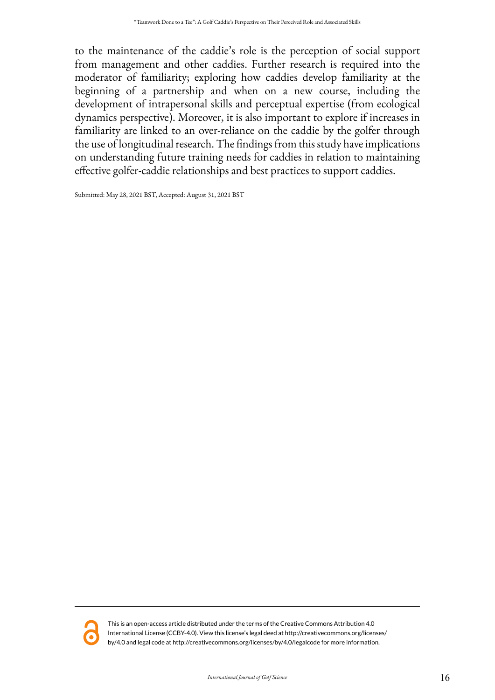to the maintenance of the caddie's role is the perception of social support from management and other caddies. Further research is required into the moderator of familiarity; exploring how caddies develop familiarity at the beginning of a partnership and when on a new course, including the development of intrapersonal skills and perceptual expertise (from ecological dynamics perspective). Moreover, it is also important to explore if increases in familiarity are linked to an over-reliance on the caddie by the golfer through the use of longitudinal research. The findings from this study have implications on understanding future training needs for caddies in relation to maintaining effective golfer-caddie relationships and best practices to support caddies.

Submitted: May 28, 2021 BST, Accepted: August 31, 2021 BST



This is an open-access article distributed under the terms of the Creative Commons Attribution 4.0 International License (CCBY-4.0). View this license's legal deed at http://creativecommons.org/licenses/ by/4.0 and legal code at http://creativecommons.org/licenses/by/4.0/legalcode for more information.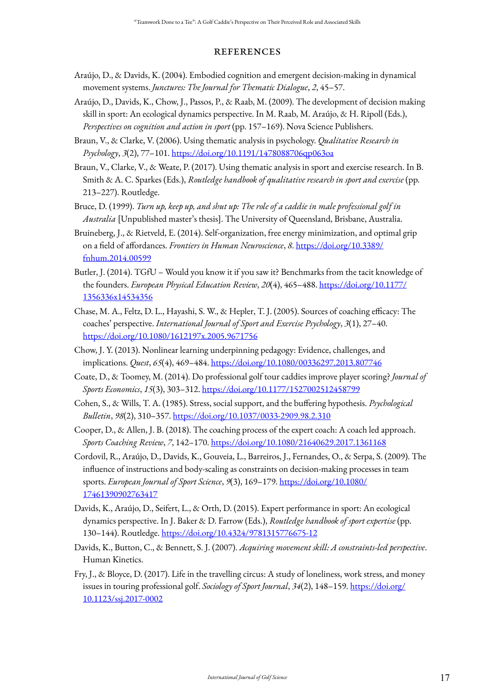### **REFERENCES**

- Araújo, D., & Davids, K. (2004). Embodied cognition and emergent decision-making in dynamical movement systems. *Junctures: The Journal for Thematic Dialogue*, *2*, 45–57.
- Araújo, D., Davids, K., Chow, J., Passos, P., & Raab, M. (2009). The development of decision making skill in sport: An ecological dynamics perspective. In M. Raab, M. Araújo, & H. Ripoll (Eds.), *Perspectives on cognition and action in sport* (pp. 157–169). Nova Science Publishers.
- Braun, V., & Clarke, V. (2006). Using thematic analysis in psychology. *Qualitative Research in Psychology*, *3*(2), 77–101.<https://doi.org/10.1191/1478088706qp063oa>
- Braun, V., Clarke, V., & Weate, P. (2017). Using thematic analysis in sport and exercise research. In B. Smith & A. C. Sparkes (Eds.), *Routledge handbook of qualitative research in sport and exercise* (pp. 213–227). Routledge.
- Bruce, D. (1999). *Turn up, keep up, and shut up: The role of a caddie in male professional golf in Australia* [Unpublished master's thesis]. The University of Queensland, Brisbane, Australia.
- Bruineberg, J., & Rietveld, E. (2014). Self-organization, free energy minimization, and optimal grip on a field of affordances. *Frontiers in Human Neuroscience*, *8*. [https://doi.org/10.3389/](https://doi.org/10.3389/fnhum.2014.00599) [fnhum.2014.00599](https://doi.org/10.3389/fnhum.2014.00599)
- Butler, J. (2014). TGfU Would you know it if you saw it? Benchmarks from the tacit knowledge of the founders. *European Physical Education Review*, *20*(4), 465–488. [https://doi.org/10.1177/](https://doi.org/10.1177/1356336x14534356) [1356336x14534356](https://doi.org/10.1177/1356336x14534356)
- Chase, M. A., Feltz, D. L., Hayashi, S. W., & Hepler, T. J. (2005). Sources of coaching efficacy: The coaches' perspective. *International Journal of Sport and Exercise Psychology*, *3*(1), 27–40. <https://doi.org/10.1080/1612197x.2005.9671756>
- Chow, J. Y. (2013). Nonlinear learning underpinning pedagogy: Evidence, challenges, and implications. *Quest*, *65*(4), 469–484. <https://doi.org/10.1080/00336297.2013.807746>
- Coate, D., & Toomey, M. (2014). Do professional golf tour caddies improve player scoring? *Journal of Sports Economics*, *15*(3), 303–312.<https://doi.org/10.1177/1527002512458799>
- Cohen, S., & Wills, T. A. (1985). Stress, social support, and the buffering hypothesis. *Psychological Bulletin*, *98*(2), 310–357.<https://doi.org/10.1037/0033-2909.98.2.310>
- Cooper, D., & Allen, J. B. (2018). The coaching process of the expert coach: A coach led approach. *Sports Coaching Review*, *7*, 142–170. <https://doi.org/10.1080/21640629.2017.1361168>
- Cordovil, R., Araújo, D., Davids, K., Gouveia, L., Barreiros, J., Fernandes, O., & Serpa, S. (2009). The influence of instructions and body-scaling as constraints on decision-making processes in team sports. *European Journal of Sport Science*, *9*(3), 169–179. [https://doi.org/10.1080/](https://doi.org/10.1080/17461390902763417) [17461390902763417](https://doi.org/10.1080/17461390902763417)
- Davids, K., Araújo, D., Seifert, L., & Orth, D. (2015). Expert performance in sport: An ecological dynamics perspective. In J. Baker & D. Farrow (Eds.), *Routledge handbook of sport expertise* (pp. 130–144). Routledge.<https://doi.org/10.4324/9781315776675-12>
- Davids, K., Button, C., & Bennett, S. J. (2007). *Acquiring movement skill: A constraints-led perspective*. Human Kinetics.
- Fry, J., & Bloyce, D. (2017). Life in the travelling circus: A study of loneliness, work stress, and money issues in touring professional golf. *Sociology of Sport Journal*, *34*(2), 148–159. [https://doi.org/](https://doi.org/10.1123/ssj.2017-0002) [10.1123/ssj.2017-0002](https://doi.org/10.1123/ssj.2017-0002)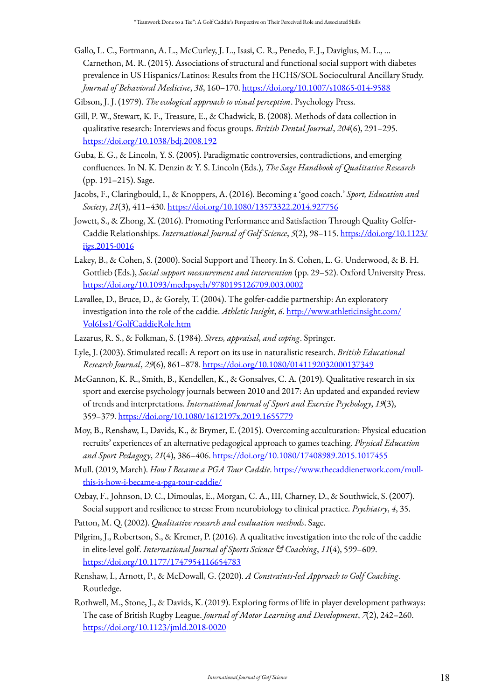Gallo, L. C., Fortmann, A. L., McCurley, J. L., Isasi, C. R., Penedo, F. J., Daviglus, M. L., … Carnethon, M. R. (2015). Associations of structural and functional social support with diabetes prevalence in US Hispanics/Latinos: Results from the HCHS/SOL Sociocultural Ancillary Study. *Journal of Behavioral Medicine*, *38*, 160–170.<https://doi.org/10.1007/s10865-014-9588>

Gibson, J. J. (1979). *The ecological approach to visual perception*. Psychology Press.

- Gill, P. W., Stewart, K. F., Treasure, E., & Chadwick, B. (2008). Methods of data collection in qualitative research: Interviews and focus groups. *British Dental Journal*, *204*(6), 291–295. <https://doi.org/10.1038/bdj.2008.192>
- Guba, E. G., & Lincoln, Y. S. (2005). Paradigmatic controversies, contradictions, and emerging confluences. In N. K. Denzin & Y. S. Lincoln (Eds.), *The Sage Handbook of Qualitative Research*  (pp. 191–215). Sage.
- Jacobs, F., Claringbould, I., & Knoppers, A. (2016). Becoming a 'good coach.' *Sport, Education and Society*, *21*(3), 411–430. <https://doi.org/10.1080/13573322.2014.927756>
- Jowett, S., & Zhong, X. (2016). Promoting Performance and Satisfaction Through Quality Golfer-Caddie Relationships. *International Journal of Golf Science*, *5*(2), 98–115. [https://doi.org/10.1123/](https://doi.org/10.1123/ijgs.2015-0016) [ijgs.2015-0016](https://doi.org/10.1123/ijgs.2015-0016)
- Lakey, B., & Cohen, S. (2000). Social Support and Theory. In S. Cohen, L. G. Underwood, & B. H. Gottlieb (Eds.), *Social support measurement and intervention* (pp. 29–52). Oxford University Press. <https://doi.org/10.1093/med:psych/9780195126709.003.0002>
- Lavallee, D., Bruce, D., & Gorely, T. (2004). The golfer-caddie partnership: An exploratory investigation into the role of the caddie. *Athletic Insight*, *6*. [http://www.athleticinsight.com/](http://www.athleticinsight.com/Vol6Iss1/GolfCaddieRole.htm) [Vol6Iss1/GolfCaddieRole.htm](http://www.athleticinsight.com/Vol6Iss1/GolfCaddieRole.htm)
- Lazarus, R. S., & Folkman, S. (1984). *Stress, appraisal, and coping*. Springer.
- Lyle, J. (2003). Stimulated recall: A report on its use in naturalistic research. *British Educational Research Journal*, *29*(6), 861–878. <https://doi.org/10.1080/0141192032000137349>
- McGannon, K. R., Smith, B., Kendellen, K., & Gonsalves, C. A. (2019). Qualitative research in six sport and exercise psychology journals between 2010 and 2017: An updated and expanded review of trends and interpretations. *International Journal of Sport and Exercise Psychology*, *19*(3), 359–379.<https://doi.org/10.1080/1612197x.2019.1655779>
- Moy, B., Renshaw, I., Davids, K., & Brymer, E. (2015). Overcoming acculturation: Physical education recruits' experiences of an alternative pedagogical approach to games teaching. *Physical Education and Sport Pedagogy*, *21*(4), 386–406. <https://doi.org/10.1080/17408989.2015.1017455>
- Mull. (2019, March). *How I Became a PGA Tour Caddie*. [https://www.thecaddienetwork.com/mull](https://www.thecaddienetwork.com/mull-this-is-how-i-became-a-pga-tour-caddie/)[this-is-how-i-became-a-pga-tour-caddie/](https://www.thecaddienetwork.com/mull-this-is-how-i-became-a-pga-tour-caddie/)
- Ozbay, F., Johnson, D. C., Dimoulas, E., Morgan, C. A., III, Charney, D., & Southwick, S. (2007). Social support and resilience to stress: From neurobiology to clinical practice. *Psychiatry*, *4*, 35.
- Patton, M. Q. (2002). *Qualitative research and evaluation methods*. Sage.
- Pilgrim, J., Robertson, S., & Kremer, P. (2016). A qualitative investigation into the role of the caddie in elite-level golf. *International Journal of Sports Science & Coaching*, *11*(4), 599–609. <https://doi.org/10.1177/1747954116654783>
- Renshaw, I., Arnott, P., & McDowall, G. (2020). *A Constraints-led Approach to Golf Coaching*. Routledge.
- Rothwell, M., Stone, J., & Davids, K. (2019). Exploring forms of life in player development pathways: The case of British Rugby League. *Journal of Motor Learning and Development*, *7*(2), 242–260. <https://doi.org/10.1123/jmld.2018-0020>